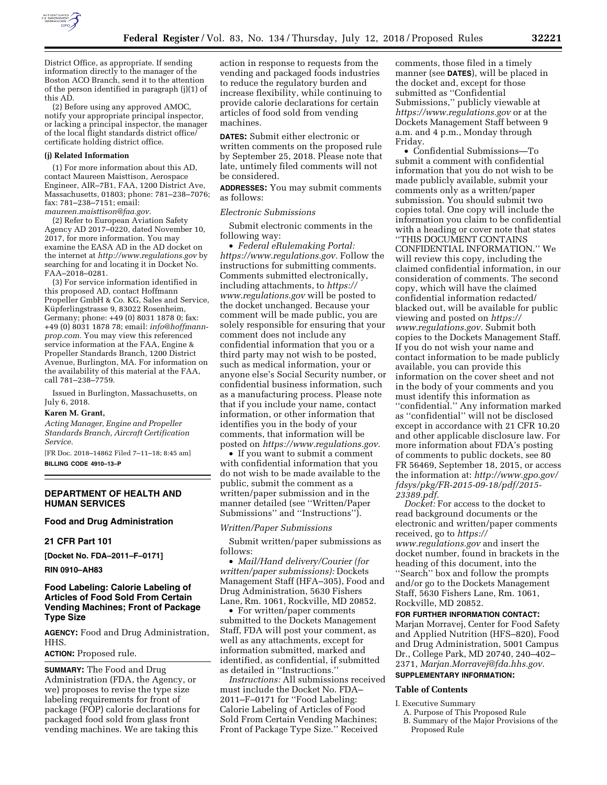

District Office, as appropriate. If sending information directly to the manager of the Boston ACO Branch, send it to the attention of the person identified in paragraph (j)(1) of this AD.

(2) Before using any approved AMOC, notify your appropriate principal inspector, or lacking a principal inspector, the manager of the local flight standards district office/ certificate holding district office.

#### **(j) Related Information**

(1) For more information about this AD, contact Maureen Maisttison, Aerospace Engineer, AIR–7B1, FAA, 1200 District Ave, Massachusetts, 01803; phone: 781–238–7076; fax: 781–238–7151; email: *[maureen.maisttison@faa.gov.](mailto:maureen.maisttison@faa.gov)* 

(2) Refer to European Aviation Safety Agency AD 2017–0220, dated November 10, 2017, for more information. You may examine the EASA AD in the AD docket on the internet at *<http://www.regulations.gov>*by searching for and locating it in Docket No. FAA–2018–0281.

(3) For service information identified in this proposed AD, contact Hoffmann Propeller GmbH & Co. KG, Sales and Service, Küpferlingstrasse 9, 83022 Rosenheim, Germany; phone: +49 (0) 8031 1878 0; fax: +49 (0) 8031 1878 78; email: *[info@hoffmann](mailto:info@hoffmann-prop.com)[prop.com.](mailto:info@hoffmann-prop.com)* You may view this referenced service information at the FAA, Engine & Propeller Standards Branch, 1200 District Avenue, Burlington, MA. For information on the availability of this material at the FAA, call 781–238–7759.

Issued in Burlington, Massachusetts, on July 6, 2018.

#### **Karen M. Grant,**

*Acting Manager, Engine and Propeller Standards Branch, Aircraft Certification Service.* 

[FR Doc. 2018–14862 Filed 7–11–18; 8:45 am] **BILLING CODE 4910–13–P** 

### **DEPARTMENT OF HEALTH AND HUMAN SERVICES**

# **Food and Drug Administration**

#### **21 CFR Part 101**

**[Docket No. FDA–2011–F–0171]** 

#### **RIN 0910–AH83**

# **Food Labeling: Calorie Labeling of Articles of Food Sold From Certain Vending Machines; Front of Package Type Size**

**AGENCY:** Food and Drug Administration, HHS.

## **ACTION:** Proposed rule.

**SUMMARY:** The Food and Drug Administration (FDA, the Agency, or we) proposes to revise the type size labeling requirements for front of package (FOP) calorie declarations for packaged food sold from glass front vending machines. We are taking this

action in response to requests from the vending and packaged foods industries to reduce the regulatory burden and increase flexibility, while continuing to provide calorie declarations for certain articles of food sold from vending machines.

**DATES:** Submit either electronic or written comments on the proposed rule by September 25, 2018. Please note that late, untimely filed comments will not be considered.

**ADDRESSES:** You may submit comments as follows:

#### *Electronic Submissions*

Submit electronic comments in the following way:

• *Federal eRulemaking Portal: [https://www.regulations.gov.](https://www.regulations.gov)* Follow the instructions for submitting comments. Comments submitted electronically, including attachments, to *[https://](https://www.regulations.gov) [www.regulations.gov](https://www.regulations.gov)* will be posted to the docket unchanged. Because your comment will be made public, you are solely responsible for ensuring that your comment does not include any confidential information that you or a third party may not wish to be posted, such as medical information, your or anyone else's Social Security number, or confidential business information, such as a manufacturing process. Please note that if you include your name, contact information, or other information that identifies you in the body of your comments, that information will be posted on *[https://www.regulations.gov.](https://www.regulations.gov)* 

• If you want to submit a comment with confidential information that you do not wish to be made available to the public, submit the comment as a written/paper submission and in the manner detailed (see ''Written/Paper Submissions'' and ''Instructions'').

#### *Written/Paper Submissions*

Submit written/paper submissions as follows:

• *Mail/Hand delivery/Courier (for written/paper submissions):* Dockets Management Staff (HFA–305), Food and Drug Administration, 5630 Fishers Lane, Rm. 1061, Rockville, MD 20852.

• For written/paper comments submitted to the Dockets Management Staff, FDA will post your comment, as well as any attachments, except for information submitted, marked and identified, as confidential, if submitted as detailed in ''Instructions.''

*Instructions:* All submissions received must include the Docket No. FDA– 2011–F–0171 for ''Food Labeling: Calorie Labeling of Articles of Food Sold From Certain Vending Machines; Front of Package Type Size.'' Received

comments, those filed in a timely manner (see **DATES**), will be placed in the docket and, except for those submitted as ''Confidential Submissions,'' publicly viewable at *<https://www.regulations.gov>* or at the Dockets Management Staff between 9 a.m. and 4 p.m., Monday through Friday.

• Confidential Submissions—To submit a comment with confidential information that you do not wish to be made publicly available, submit your comments only as a written/paper submission. You should submit two copies total. One copy will include the information you claim to be confidential with a heading or cover note that states ''THIS DOCUMENT CONTAINS CONFIDENTIAL INFORMATION.'' We will review this copy, including the claimed confidential information, in our consideration of comments. The second copy, which will have the claimed confidential information redacted/ blacked out, will be available for public viewing and posted on *[https://](https://www.regulations.gov) [www.regulations.gov.](https://www.regulations.gov)* Submit both copies to the Dockets Management Staff. If you do not wish your name and contact information to be made publicly available, you can provide this information on the cover sheet and not in the body of your comments and you must identify this information as ''confidential.'' Any information marked as ''confidential'' will not be disclosed except in accordance with 21 CFR 10.20 and other applicable disclosure law. For more information about FDA's posting of comments to public dockets, see 80 FR 56469, September 18, 2015, or access the information at: *[http://www.gpo.gov/](http://www.gpo.gov/fdsys/pkg/FR-2015-09-18/pdf/2015-23389.pdf) [fdsys/pkg/FR-2015-09-18/pdf/2015-](http://www.gpo.gov/fdsys/pkg/FR-2015-09-18/pdf/2015-23389.pdf)  [23389.pdf.](http://www.gpo.gov/fdsys/pkg/FR-2015-09-18/pdf/2015-23389.pdf)* 

*Docket:* For access to the docket to read background documents or the electronic and written/paper comments received, go to *[https://](https://www.regulations.gov) [www.regulations.gov](https://www.regulations.gov)* and insert the docket number, found in brackets in the heading of this document, into the ''Search'' box and follow the prompts and/or go to the Dockets Management Staff, 5630 Fishers Lane, Rm. 1061, Rockville, MD 20852.

#### **FOR FURTHER INFORMATION CONTACT:**

Marjan Morravej, Center for Food Safety and Applied Nutrition (HFS–820), Food and Drug Administration, 5001 Campus Dr., College Park, MD 20740, 240–402– 2371, *[Marjan.Morravej@fda.hhs.gov.](mailto:Marjan.Morravej@fda.hhs.gov)*  **SUPPLEMENTARY INFORMATION:** 

# **Table of Contents**

#### I. Executive Summary

- A. Purpose of This Proposed Rule
- B. Summary of the Major Provisions of the Proposed Rule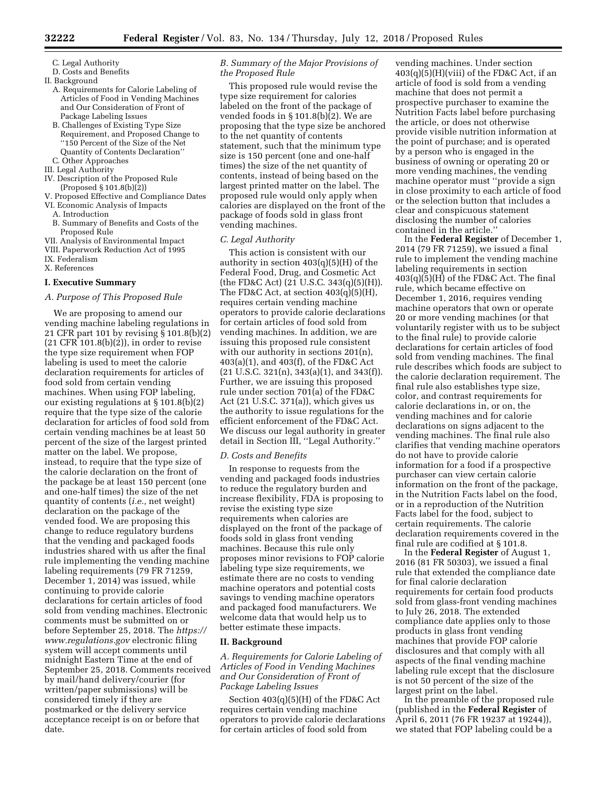- C. Legal Authority
- D. Costs and Benefits
- II. Background
	- A. Requirements for Calorie Labeling of Articles of Food in Vending Machines and Our Consideration of Front of Package Labeling Issues
	- B. Challenges of Existing Type Size Requirement, and Proposed Change to ''150 Percent of the Size of the Net Quantity of Contents Declaration''
	- C. Other Approaches
- III. Legal Authority
- IV. Description of the Proposed Rule (Proposed § 101.8(b)(2))
- V. Proposed Effective and Compliance Dates
- VI. Economic Analysis of Impacts
	- A. Introduction
- B. Summary of Benefits and Costs of the Proposed Rule
- VII. Analysis of Environmental Impact
- VIII. Paperwork Reduction Act of 1995
- IX. Federalism
- X. References

#### **I. Executive Summary**

#### *A. Purpose of This Proposed Rule*

We are proposing to amend our vending machine labeling regulations in 21 CFR part 101 by revising § 101.8(b)(2) (21 CFR 101.8(b)(2)), in order to revise the type size requirement when FOP labeling is used to meet the calorie declaration requirements for articles of food sold from certain vending machines. When using FOP labeling, our existing regulations at § 101.8(b)(2) require that the type size of the calorie declaration for articles of food sold from certain vending machines be at least 50 percent of the size of the largest printed matter on the label. We propose, instead, to require that the type size of the calorie declaration on the front of the package be at least 150 percent (one and one-half times) the size of the net quantity of contents (*i.e.,* net weight) declaration on the package of the vended food. We are proposing this change to reduce regulatory burdens that the vending and packaged foods industries shared with us after the final rule implementing the vending machine labeling requirements (79 FR 71259, December 1, 2014) was issued, while continuing to provide calorie declarations for certain articles of food sold from vending machines. Electronic comments must be submitted on or before September 25, 2018. The *[https://](https://www.regulations.gov) [www.regulations.gov](https://www.regulations.gov)* electronic filing system will accept comments until midnight Eastern Time at the end of September 25, 2018. Comments received by mail/hand delivery/courier (for written/paper submissions) will be considered timely if they are postmarked or the delivery service acceptance receipt is on or before that date.

# *B. Summary of the Major Provisions of the Proposed Rule*

This proposed rule would revise the type size requirement for calories labeled on the front of the package of vended foods in § 101.8(b)(2). We are proposing that the type size be anchored to the net quantity of contents statement, such that the minimum type size is 150 percent (one and one-half times) the size of the net quantity of contents, instead of being based on the largest printed matter on the label. The proposed rule would only apply when calories are displayed on the front of the package of foods sold in glass front vending machines.

## *C. Legal Authority*

This action is consistent with our authority in section 403(q)(5)(H) of the Federal Food, Drug, and Cosmetic Act (the FD&C Act) (21 U.S.C. 343(q)(5)(H)). The FD&C Act, at section 403(q)(5)(H), requires certain vending machine operators to provide calorie declarations for certain articles of food sold from vending machines. In addition, we are issuing this proposed rule consistent with our authority in sections 201(n), 403(a)(1), and 403(f), of the FD&C Act  $(21 \text{ U.S.C. } 321(n), 343(a)(1), \text{ and } 343(f)).$ Further, we are issuing this proposed rule under section 701(a) of the FD&C Act (21 U.S.C. 371(a)), which gives us the authority to issue regulations for the efficient enforcement of the FD&C Act. We discuss our legal authority in greater detail in Section III, ''Legal Authority.''

#### *D. Costs and Benefits*

In response to requests from the vending and packaged foods industries to reduce the regulatory burden and increase flexibility, FDA is proposing to revise the existing type size requirements when calories are displayed on the front of the package of foods sold in glass front vending machines. Because this rule only proposes minor revisions to FOP calorie labeling type size requirements, we estimate there are no costs to vending machine operators and potential costs savings to vending machine operators and packaged food manufacturers. We welcome data that would help us to better estimate these impacts.

#### **II. Background**

*A. Requirements for Calorie Labeling of Articles of Food in Vending Machines and Our Consideration of Front of Package Labeling Issues* 

Section 403(q)(5)(H) of the FD&C Act requires certain vending machine operators to provide calorie declarations for certain articles of food sold from

vending machines. Under section  $403(q)(5)(H)(viii)$  of the FD&C Act, if an article of food is sold from a vending machine that does not permit a prospective purchaser to examine the Nutrition Facts label before purchasing the article, or does not otherwise provide visible nutrition information at the point of purchase; and is operated by a person who is engaged in the business of owning or operating 20 or more vending machines, the vending machine operator must ''provide a sign in close proximity to each article of food or the selection button that includes a clear and conspicuous statement disclosing the number of calories contained in the article.''

In the **Federal Register** of December 1, 2014 (79 FR 71259), we issued a final rule to implement the vending machine labeling requirements in section  $403(q)(5)(H)$  of the FD&C Act. The final rule, which became effective on December 1, 2016, requires vending machine operators that own or operate 20 or more vending machines (or that voluntarily register with us to be subject to the final rule) to provide calorie declarations for certain articles of food sold from vending machines. The final rule describes which foods are subject to the calorie declaration requirement. The final rule also establishes type size, color, and contrast requirements for calorie declarations in, or on, the vending machines and for calorie declarations on signs adjacent to the vending machines. The final rule also clarifies that vending machine operators do not have to provide calorie information for a food if a prospective purchaser can view certain calorie information on the front of the package, in the Nutrition Facts label on the food, or in a reproduction of the Nutrition Facts label for the food, subject to certain requirements. The calorie declaration requirements covered in the final rule are codified at § 101.8.

In the **Federal Register** of August 1, 2016 (81 FR 50303), we issued a final rule that extended the compliance date for final calorie declaration requirements for certain food products sold from glass-front vending machines to July 26, 2018. The extended compliance date applies only to those products in glass front vending machines that provide FOP calorie disclosures and that comply with all aspects of the final vending machine labeling rule except that the disclosure is not 50 percent of the size of the largest print on the label.

In the preamble of the proposed rule (published in the **Federal Register** of April 6, 2011 (76 FR 19237 at 19244)), we stated that FOP labeling could be a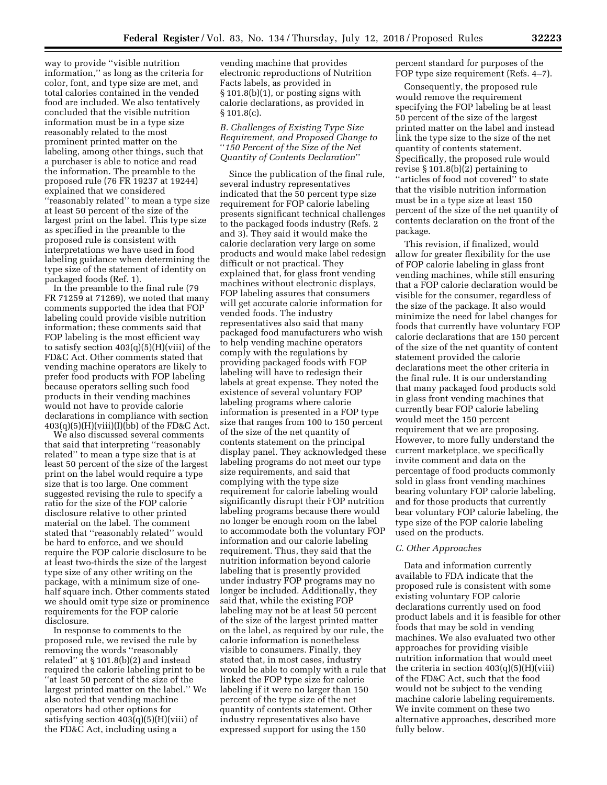way to provide ''visible nutrition information,'' as long as the criteria for color, font, and type size are met, and total calories contained in the vended food are included. We also tentatively concluded that the visible nutrition information must be in a type size reasonably related to the most prominent printed matter on the labeling, among other things, such that a purchaser is able to notice and read the information. The preamble to the proposed rule (76 FR 19237 at 19244) explained that we considered ''reasonably related'' to mean a type size at least 50 percent of the size of the largest print on the label. This type size as specified in the preamble to the proposed rule is consistent with interpretations we have used in food labeling guidance when determining the type size of the statement of identity on packaged foods (Ref. 1).

In the preamble to the final rule (79 FR 71259 at 71269), we noted that many comments supported the idea that FOP labeling could provide visible nutrition information; these comments said that FOP labeling is the most efficient way to satisfy section  $403(q)(5)(H)(viii)$  of the FD&C Act. Other comments stated that vending machine operators are likely to prefer food products with FOP labeling because operators selling such food products in their vending machines would not have to provide calorie declarations in compliance with section  $403(q)(5)(H)(viii)(I)(bb)$  of the FD&C Act.

We also discussed several comments that said that interpreting ''reasonably related'' to mean a type size that is at least 50 percent of the size of the largest print on the label would require a type size that is too large. One comment suggested revising the rule to specify a ratio for the size of the FOP calorie disclosure relative to other printed material on the label. The comment stated that ''reasonably related'' would be hard to enforce, and we should require the FOP calorie disclosure to be at least two-thirds the size of the largest type size of any other writing on the package, with a minimum size of onehalf square inch. Other comments stated we should omit type size or prominence requirements for the FOP calorie disclosure.

In response to comments to the proposed rule, we revised the rule by removing the words ''reasonably related'' at § 101.8(b)(2) and instead required the calorie labeling print to be ''at least 50 percent of the size of the largest printed matter on the label.'' We also noted that vending machine operators had other options for satisfying section  $403(q)(5)(H)(viii)$  of the FD&C Act, including using a

vending machine that provides electronic reproductions of Nutrition Facts labels, as provided in § 101.8(b)(1), or posting signs with calorie declarations, as provided in § 101.8(c).

*B. Challenges of Existing Type Size Requirement, and Proposed Change to*  ''*150 Percent of the Size of the Net Quantity of Contents Declaration*''

Since the publication of the final rule, several industry representatives indicated that the 50 percent type size requirement for FOP calorie labeling presents significant technical challenges to the packaged foods industry (Refs. 2 and 3). They said it would make the calorie declaration very large on some products and would make label redesign difficult or not practical. They explained that, for glass front vending machines without electronic displays, FOP labeling assures that consumers will get accurate calorie information for vended foods. The industry representatives also said that many packaged food manufacturers who wish to help vending machine operators comply with the regulations by providing packaged foods with FOP labeling will have to redesign their labels at great expense. They noted the existence of several voluntary FOP labeling programs where calorie information is presented in a FOP type size that ranges from 100 to 150 percent of the size of the net quantity of contents statement on the principal display panel. They acknowledged these labeling programs do not meet our type size requirements, and said that complying with the type size requirement for calorie labeling would significantly disrupt their FOP nutrition labeling programs because there would no longer be enough room on the label to accommodate both the voluntary FOP information and our calorie labeling requirement. Thus, they said that the nutrition information beyond calorie labeling that is presently provided under industry FOP programs may no longer be included. Additionally, they said that, while the existing FOP labeling may not be at least 50 percent of the size of the largest printed matter on the label, as required by our rule, the calorie information is nonetheless visible to consumers. Finally, they stated that, in most cases, industry would be able to comply with a rule that linked the FOP type size for calorie labeling if it were no larger than 150 percent of the type size of the net quantity of contents statement. Other industry representatives also have expressed support for using the 150

percent standard for purposes of the FOP type size requirement (Refs. 4–7).

Consequently, the proposed rule would remove the requirement specifying the FOP labeling be at least 50 percent of the size of the largest printed matter on the label and instead link the type size to the size of the net quantity of contents statement. Specifically, the proposed rule would revise § 101.8(b)(2) pertaining to "articles of food not covered" to state that the visible nutrition information must be in a type size at least 150 percent of the size of the net quantity of contents declaration on the front of the package.

This revision, if finalized, would allow for greater flexibility for the use of FOP calorie labeling in glass front vending machines, while still ensuring that a FOP calorie declaration would be visible for the consumer, regardless of the size of the package. It also would minimize the need for label changes for foods that currently have voluntary FOP calorie declarations that are 150 percent of the size of the net quantity of content statement provided the calorie declarations meet the other criteria in the final rule. It is our understanding that many packaged food products sold in glass front vending machines that currently bear FOP calorie labeling would meet the 150 percent requirement that we are proposing. However, to more fully understand the current marketplace, we specifically invite comment and data on the percentage of food products commonly sold in glass front vending machines bearing voluntary FOP calorie labeling, and for those products that currently bear voluntary FOP calorie labeling, the type size of the FOP calorie labeling used on the products.

### *C. Other Approaches*

Data and information currently available to FDA indicate that the proposed rule is consistent with some existing voluntary FOP calorie declarations currently used on food product labels and it is feasible for other foods that may be sold in vending machines. We also evaluated two other approaches for providing visible nutrition information that would meet the criteria in section  $403(q)(5)(H)(viii)$ of the FD&C Act, such that the food would not be subject to the vending machine calorie labeling requirements. We invite comment on these two alternative approaches, described more fully below.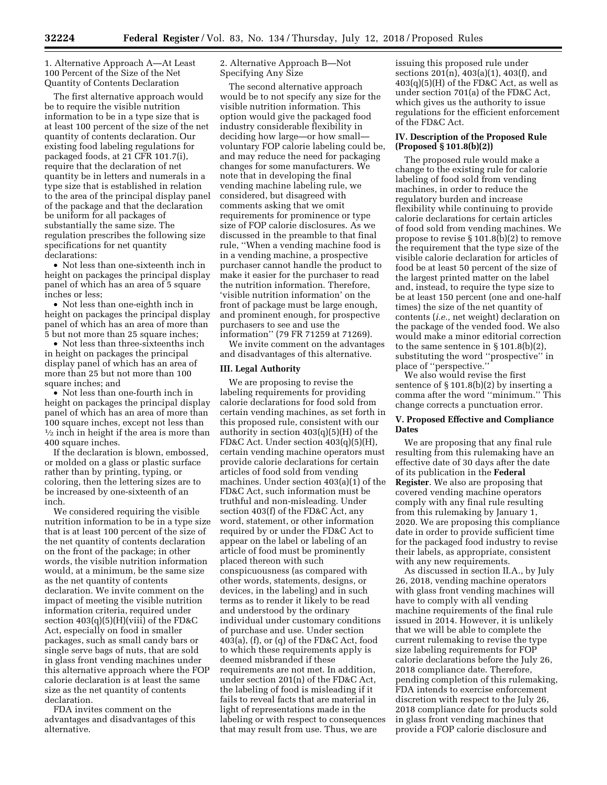1. Alternative Approach A—At Least 100 Percent of the Size of the Net Quantity of Contents Declaration

The first alternative approach would be to require the visible nutrition information to be in a type size that is at least 100 percent of the size of the net quantity of contents declaration. Our existing food labeling regulations for packaged foods, at 21 CFR 101.7(i), require that the declaration of net quantity be in letters and numerals in a type size that is established in relation to the area of the principal display panel of the package and that the declaration be uniform for all packages of substantially the same size. The regulation prescribes the following size specifications for net quantity declarations:

• Not less than one-sixteenth inch in height on packages the principal display panel of which has an area of 5 square inches or less;

• Not less than one-eighth inch in height on packages the principal display panel of which has an area of more than 5 but not more than 25 square inches;

• Not less than three-sixteenths inch in height on packages the principal display panel of which has an area of more than 25 but not more than 100 square inches; and

• Not less than one-fourth inch in height on packages the principal display panel of which has an area of more than 100 square inches, except not less than  $\frac{1}{2}$  inch in height if the area is more than 400 square inches.

If the declaration is blown, embossed, or molded on a glass or plastic surface rather than by printing, typing, or coloring, then the lettering sizes are to be increased by one-sixteenth of an inch.

We considered requiring the visible nutrition information to be in a type size that is at least 100 percent of the size of the net quantity of contents declaration on the front of the package; in other words, the visible nutrition information would, at a minimum, be the same size as the net quantity of contents declaration. We invite comment on the impact of meeting the visible nutrition information criteria, required under section  $403(q)(5)(H)(viii)$  of the FD&C Act, especially on food in smaller packages, such as small candy bars or single serve bags of nuts, that are sold in glass front vending machines under this alternative approach where the FOP calorie declaration is at least the same size as the net quantity of contents declaration.

FDA invites comment on the advantages and disadvantages of this alternative.

2. Alternative Approach B—Not Specifying Any Size

The second alternative approach would be to not specify any size for the visible nutrition information. This option would give the packaged food industry considerable flexibility in deciding how large—or how small voluntary FOP calorie labeling could be, and may reduce the need for packaging changes for some manufacturers. We note that in developing the final vending machine labeling rule, we considered, but disagreed with comments asking that we omit requirements for prominence or type size of FOP calorie disclosures. As we discussed in the preamble to that final rule, ''When a vending machine food is in a vending machine, a prospective purchaser cannot handle the product to make it easier for the purchaser to read the nutrition information. Therefore, 'visible nutrition information' on the front of package must be large enough, and prominent enough, for prospective purchasers to see and use the information'' (79 FR 71259 at 71269).

We invite comment on the advantages and disadvantages of this alternative.

## **III. Legal Authority**

We are proposing to revise the labeling requirements for providing calorie declarations for food sold from certain vending machines, as set forth in this proposed rule, consistent with our authority in section 403(q)(5)(H) of the FD&C Act. Under section 403(q)(5)(H), certain vending machine operators must provide calorie declarations for certain articles of food sold from vending machines. Under section 403(a)(1) of the FD&C Act, such information must be truthful and non-misleading. Under section 403(f) of the FD&C Act, any word, statement, or other information required by or under the FD&C Act to appear on the label or labeling of an article of food must be prominently placed thereon with such conspicuousness (as compared with other words, statements, designs, or devices, in the labeling) and in such terms as to render it likely to be read and understood by the ordinary individual under customary conditions of purchase and use. Under section 403(a), (f), or (q) of the FD&C Act, food to which these requirements apply is deemed misbranded if these requirements are not met. In addition, under section 201(n) of the FD&C Act, the labeling of food is misleading if it fails to reveal facts that are material in light of representations made in the labeling or with respect to consequences that may result from use. Thus, we are

issuing this proposed rule under sections 201(n), 403(a)(1), 403(f), and  $403(q)(5)(H)$  of the FD&C Act, as well as under section 701(a) of the FD&C Act, which gives us the authority to issue regulations for the efficient enforcement of the FD&C Act.

## **IV. Description of the Proposed Rule (Proposed § 101.8(b)(2))**

The proposed rule would make a change to the existing rule for calorie labeling of food sold from vending machines, in order to reduce the regulatory burden and increase flexibility while continuing to provide calorie declarations for certain articles of food sold from vending machines. We propose to revise § 101.8(b)(2) to remove the requirement that the type size of the visible calorie declaration for articles of food be at least 50 percent of the size of the largest printed matter on the label and, instead, to require the type size to be at least 150 percent (one and one-half times) the size of the net quantity of contents (*i.e.,* net weight) declaration on the package of the vended food. We also would make a minor editorial correction to the same sentence in § 101.8(b)(2), substituting the word ''prospective'' in place of ''perspective.''

We also would revise the first sentence of § 101.8(b)(2) by inserting a comma after the word ''minimum.'' This change corrects a punctuation error.

### **V. Proposed Effective and Compliance Dates**

We are proposing that any final rule resulting from this rulemaking have an effective date of 30 days after the date of its publication in the **Federal Register**. We also are proposing that covered vending machine operators comply with any final rule resulting from this rulemaking by January 1, 2020. We are proposing this compliance date in order to provide sufficient time for the packaged food industry to revise their labels, as appropriate, consistent with any new requirements.

As discussed in section II.A., by July 26, 2018, vending machine operators with glass front vending machines will have to comply with all vending machine requirements of the final rule issued in 2014. However, it is unlikely that we will be able to complete the current rulemaking to revise the type size labeling requirements for FOP calorie declarations before the July 26, 2018 compliance date. Therefore, pending completion of this rulemaking, FDA intends to exercise enforcement discretion with respect to the July 26, 2018 compliance date for products sold in glass front vending machines that provide a FOP calorie disclosure and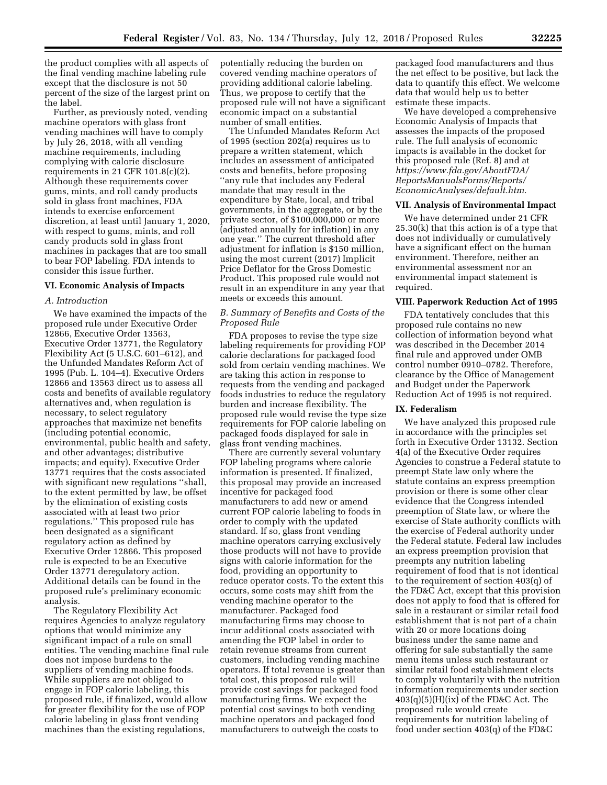the product complies with all aspects of the final vending machine labeling rule except that the disclosure is not 50 percent of the size of the largest print on the label.

Further, as previously noted, vending machine operators with glass front vending machines will have to comply by July 26, 2018, with all vending machine requirements, including complying with calorie disclosure requirements in 21 CFR 101.8(c)(2). Although these requirements cover gums, mints, and roll candy products sold in glass front machines, FDA intends to exercise enforcement discretion, at least until January 1, 2020, with respect to gums, mints, and roll candy products sold in glass front machines in packages that are too small to bear FOP labeling. FDA intends to consider this issue further.

#### **VI. Economic Analysis of Impacts**

#### *A. Introduction*

We have examined the impacts of the proposed rule under Executive Order 12866, Executive Order 13563, Executive Order 13771, the Regulatory Flexibility Act (5 U.S.C. 601–612), and the Unfunded Mandates Reform Act of 1995 (Pub. L. 104–4). Executive Orders 12866 and 13563 direct us to assess all costs and benefits of available regulatory alternatives and, when regulation is necessary, to select regulatory approaches that maximize net benefits (including potential economic, environmental, public health and safety, and other advantages; distributive impacts; and equity). Executive Order 13771 requires that the costs associated with significant new regulations ''shall, to the extent permitted by law, be offset by the elimination of existing costs associated with at least two prior regulations.'' This proposed rule has been designated as a significant regulatory action as defined by Executive Order 12866. This proposed rule is expected to be an Executive Order 13771 deregulatory action. Additional details can be found in the proposed rule's preliminary economic analysis.

The Regulatory Flexibility Act requires Agencies to analyze regulatory options that would minimize any significant impact of a rule on small entities. The vending machine final rule does not impose burdens to the suppliers of vending machine foods. While suppliers are not obliged to engage in FOP calorie labeling, this proposed rule, if finalized, would allow for greater flexibility for the use of FOP calorie labeling in glass front vending machines than the existing regulations,

potentially reducing the burden on covered vending machine operators of providing additional calorie labeling. Thus, we propose to certify that the proposed rule will not have a significant economic impact on a substantial number of small entities.

The Unfunded Mandates Reform Act of 1995 (section 202(a) requires us to prepare a written statement, which includes an assessment of anticipated costs and benefits, before proposing ''any rule that includes any Federal mandate that may result in the expenditure by State, local, and tribal governments, in the aggregate, or by the private sector, of \$100,000,000 or more (adjusted annually for inflation) in any one year.'' The current threshold after adjustment for inflation is \$150 million, using the most current (2017) Implicit Price Deflator for the Gross Domestic Product. This proposed rule would not result in an expenditure in any year that meets or exceeds this amount.

#### *B. Summary of Benefits and Costs of the Proposed Rule*

FDA proposes to revise the type size labeling requirements for providing FOP calorie declarations for packaged food sold from certain vending machines. We are taking this action in response to requests from the vending and packaged foods industries to reduce the regulatory burden and increase flexibility. The proposed rule would revise the type size requirements for FOP calorie labeling on packaged foods displayed for sale in glass front vending machines.

There are currently several voluntary FOP labeling programs where calorie information is presented. If finalized, this proposal may provide an increased incentive for packaged food manufacturers to add new or amend current FOP calorie labeling to foods in order to comply with the updated standard. If so, glass front vending machine operators carrying exclusively those products will not have to provide signs with calorie information for the food, providing an opportunity to reduce operator costs. To the extent this occurs, some costs may shift from the vending machine operator to the manufacturer. Packaged food manufacturing firms may choose to incur additional costs associated with amending the FOP label in order to retain revenue streams from current customers, including vending machine operators. If total revenue is greater than total cost, this proposed rule will provide cost savings for packaged food manufacturing firms. We expect the potential cost savings to both vending machine operators and packaged food manufacturers to outweigh the costs to

packaged food manufacturers and thus the net effect to be positive, but lack the data to quantify this effect. We welcome data that would help us to better estimate these impacts.

We have developed a comprehensive Economic Analysis of Impacts that assesses the impacts of the proposed rule. The full analysis of economic impacts is available in the docket for this proposed rule (Ref. 8) and at *[https://www.fda.gov/AboutFDA/](https://www.fda.gov/AboutFDA/ReportsManualsForms/Reports/EconomicAnalyses/default.htm)  [ReportsManualsForms/Reports/](https://www.fda.gov/AboutFDA/ReportsManualsForms/Reports/EconomicAnalyses/default.htm)  [EconomicAnalyses/default.htm.](https://www.fda.gov/AboutFDA/ReportsManualsForms/Reports/EconomicAnalyses/default.htm)* 

## **VII. Analysis of Environmental Impact**

We have determined under 21 CFR 25.30(k) that this action is of a type that does not individually or cumulatively have a significant effect on the human environment. Therefore, neither an environmental assessment nor an environmental impact statement is required.

#### **VIII. Paperwork Reduction Act of 1995**

FDA tentatively concludes that this proposed rule contains no new collection of information beyond what was described in the December 2014 final rule and approved under OMB control number 0910–0782. Therefore, clearance by the Office of Management and Budget under the Paperwork Reduction Act of 1995 is not required.

# **IX. Federalism**

We have analyzed this proposed rule in accordance with the principles set forth in Executive Order 13132. Section 4(a) of the Executive Order requires Agencies to construe a Federal statute to preempt State law only where the statute contains an express preemption provision or there is some other clear evidence that the Congress intended preemption of State law, or where the exercise of State authority conflicts with the exercise of Federal authority under the Federal statute. Federal law includes an express preemption provision that preempts any nutrition labeling requirement of food that is not identical to the requirement of section 403(q) of the FD&C Act, except that this provision does not apply to food that is offered for sale in a restaurant or similar retail food establishment that is not part of a chain with 20 or more locations doing business under the same name and offering for sale substantially the same menu items unless such restaurant or similar retail food establishment elects to comply voluntarily with the nutrition information requirements under section  $403(q)(5)(H)(ix)$  of the FD&C Act. The proposed rule would create requirements for nutrition labeling of food under section 403(q) of the FD&C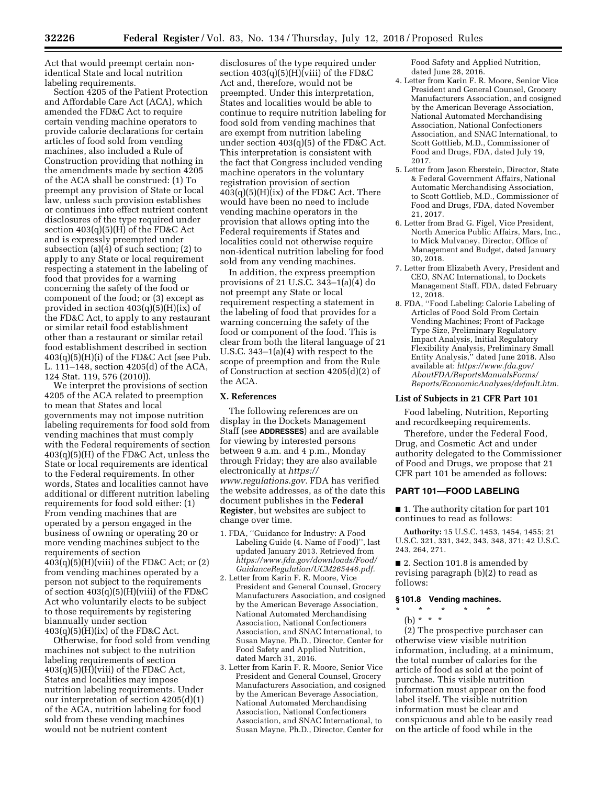Act that would preempt certain nonidentical State and local nutrition labeling requirements.

Section 4205 of the Patient Protection and Affordable Care Act (ACA), which amended the FD&C Act to require certain vending machine operators to provide calorie declarations for certain articles of food sold from vending machines, also included a Rule of Construction providing that nothing in the amendments made by section 4205 of the ACA shall be construed: (1) To preempt any provision of State or local law, unless such provision establishes or continues into effect nutrient content disclosures of the type required under section  $403(q)(5)(H)$  of the FD&C Act and is expressly preempted under subsection (a)(4) of such section; (2) to apply to any State or local requirement respecting a statement in the labeling of food that provides for a warning concerning the safety of the food or component of the food; or (3) except as provided in section 403(q)(5)(H)(ix) of the FD&C Act, to apply to any restaurant or similar retail food establishment other than a restaurant or similar retail food establishment described in section  $403(q)(5)(H)(i)$  of the FD&C Act (see Pub. L. 111–148, section 4205(d) of the ACA, 124 Stat. 119, 576 (2010)).

We interpret the provisions of section 4205 of the ACA related to preemption to mean that States and local governments may not impose nutrition labeling requirements for food sold from vending machines that must comply with the Federal requirements of section 403(q)(5)(H) of the FD&C Act, unless the State or local requirements are identical to the Federal requirements. In other words, States and localities cannot have additional or different nutrition labeling requirements for food sold either: (1) From vending machines that are operated by a person engaged in the business of owning or operating 20 or more vending machines subject to the requirements of section  $403(q)(5)(H)(viii)$  of the FD&C Act; or  $(2)$ from vending machines operated by a person not subject to the requirements of section  $403(q)(5)(H)(viii)$  of the FD&C Act who voluntarily elects to be subject to those requirements by registering

biannually under section  $403(q)(5)(H)(ix)$  of the FD&C Act.

Otherwise, for food sold from vending machines not subject to the nutrition labeling requirements of section  $403(q)(5)(H)(viii)$  of the FD&C Act, States and localities may impose nutrition labeling requirements. Under our interpretation of section 4205(d)(1) of the ACA, nutrition labeling for food sold from these vending machines would not be nutrient content

disclosures of the type required under section  $403(q)(5)(H)(viii)$  of the FD&C Act and, therefore, would not be preempted. Under this interpretation, States and localities would be able to continue to require nutrition labeling for food sold from vending machines that are exempt from nutrition labeling under section 403(q)(5) of the FD&C Act. This interpretation is consistent with the fact that Congress included vending machine operators in the voluntary registration provision of section  $403(q)(5)(H)(ix)$  of the FD&C Act. There would have been no need to include vending machine operators in the provision that allows opting into the Federal requirements if States and localities could not otherwise require non-identical nutrition labeling for food sold from any vending machines.

In addition, the express preemption provisions of 21 U.S.C. 343–1(a)(4) do not preempt any State or local requirement respecting a statement in the labeling of food that provides for a warning concerning the safety of the food or component of the food. This is clear from both the literal language of 21 U.S.C. 343–1(a)(4) with respect to the scope of preemption and from the Rule of Construction at section 4205(d)(2) of the ACA.

## **X. References**

The following references are on display in the Dockets Management Staff (see **ADDRESSES**) and are available for viewing by interested persons between 9 a.m. and 4 p.m., Monday through Friday; they are also available electronically at *[https://](https://www.regulations.gov) [www.regulations.gov.](https://www.regulations.gov)* FDA has verified the website addresses, as of the date this document publishes in the **Federal Register**, but websites are subject to change over time.

- 1. FDA, ''Guidance for Industry: A Food Labeling Guide (4. Name of Food)'', last updated January 2013. Retrieved from *[https://www.fda.gov/downloads/Food/](https://www.fda.gov/downloads/Food/GuidanceRegulation/UCM265446.pdf) [GuidanceRegulation/UCM265446.pdf.](https://www.fda.gov/downloads/Food/GuidanceRegulation/UCM265446.pdf)*
- 2. Letter from Karin F. R. Moore, Vice President and General Counsel, Grocery Manufacturers Association, and cosigned by the American Beverage Association, National Automated Merchandising Association, National Confectioners Association, and SNAC International, to Susan Mayne, Ph.D., Director, Center for Food Safety and Applied Nutrition, dated March 31, 2016.
- 3. Letter from Karin F. R. Moore, Senior Vice President and General Counsel, Grocery Manufacturers Association, and cosigned by the American Beverage Association, National Automated Merchandising Association, National Confectioners Association, and SNAC International, to Susan Mayne, Ph.D., Director, Center for

Food Safety and Applied Nutrition, dated June 28, 2016.

- 4. Letter from Karin F. R. Moore, Senior Vice President and General Counsel, Grocery Manufacturers Association, and cosigned by the American Beverage Association, National Automated Merchandising Association, National Confectioners Association, and SNAC International, to Scott Gottlieb, M.D., Commissioner of Food and Drugs, FDA, dated July 19, 2017.
- 5. Letter from Jason Eberstein, Director, State & Federal Government Affairs, National Automatic Merchandising Association, to Scott Gottlieb, M.D., Commissioner of Food and Drugs, FDA, dated November 21, 2017.
- 6. Letter from Brad G. Figel, Vice President, North America Public Affairs, Mars, Inc., to Mick Mulvaney, Director, Office of Management and Budget, dated January 30, 2018.
- 7. Letter from Elizabeth Avery, President and CEO, SNAC International, to Dockets Management Staff, FDA, dated February 12, 2018.
- 8. FDA, ''Food Labeling: Calorie Labeling of Articles of Food Sold From Certain Vending Machines; Front of Package Type Size, Preliminary Regulatory Impact Analysis, Initial Regulatory Flexibility Analysis, Preliminary Small Entity Analysis,'' dated June 2018. Also available at: *[https://www.fda.gov/](https://www.fda.gov/AboutFDA/ReportsManualsForms/Reports/EconomicAnalyses/default.htm)  [AboutFDA/ReportsManualsForms/](https://www.fda.gov/AboutFDA/ReportsManualsForms/Reports/EconomicAnalyses/default.htm) [Reports/EconomicAnalyses/default.htm.](https://www.fda.gov/AboutFDA/ReportsManualsForms/Reports/EconomicAnalyses/default.htm)*

## **List of Subjects in 21 CFR Part 101**

Food labeling, Nutrition, Reporting and recordkeeping requirements.

Therefore, under the Federal Food, Drug, and Cosmetic Act and under authority delegated to the Commissioner of Food and Drugs, we propose that 21 CFR part 101 be amended as follows:

#### **PART 101—FOOD LABELING**

■ 1. The authority citation for part 101 continues to read as follows:

**Authority:** 15 U.S.C. 1453, 1454, 1455; 21 U.S.C. 321, 331, 342, 343, 348, 371; 42 U.S.C. 243, 264, 271.

■ 2. Section 101.8 is amended by revising paragraph (b)(2) to read as follows:

### **§ 101.8 Vending machines.**

- \* \* \* \* \*
- (b)  $* * * *$

(2) The prospective purchaser can otherwise view visible nutrition information, including, at a minimum, the total number of calories for the article of food as sold at the point of purchase. This visible nutrition information must appear on the food label itself. The visible nutrition information must be clear and conspicuous and able to be easily read on the article of food while in the